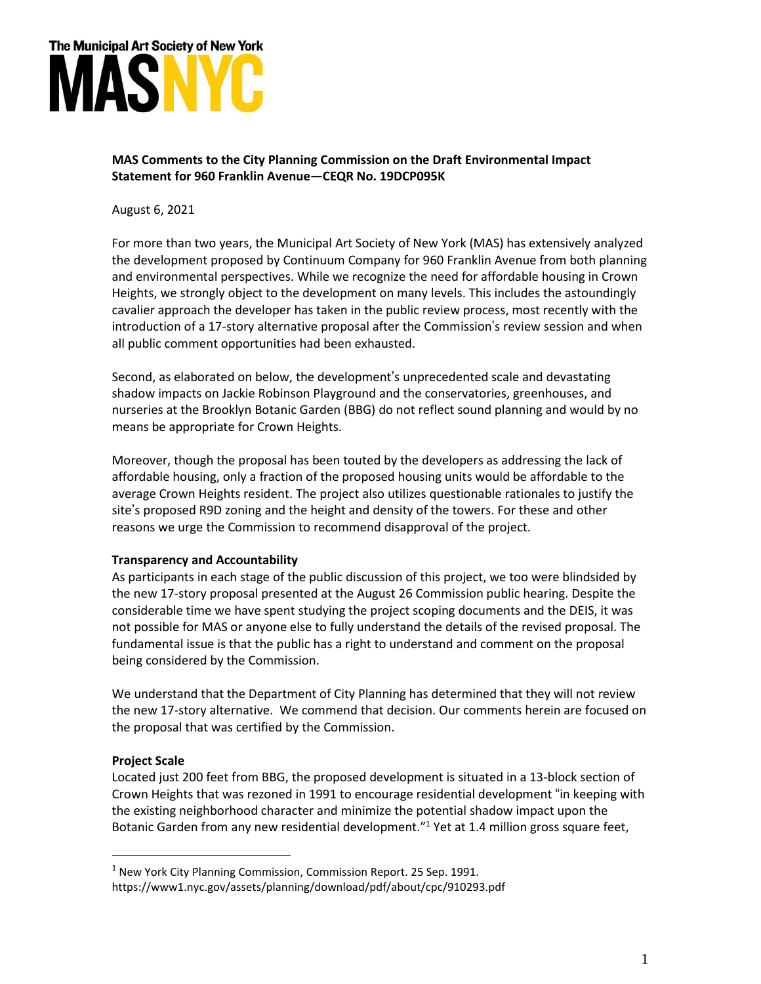

## **MAS Comments to the City Planning Commission on the Draft Environmental Impact Statement for 960 Franklin Avenue—CEQR No. 19DCP095K**

August 6, 2021

For more than two years, the Municipal Art Society of New York (MAS) has extensively analyzed the development proposed by Continuum Company for 960 Franklin Avenue from both planning and environmental perspectives. While we recognize the need for affordable housing in Crown Heights, we strongly object to the development on many levels. This includes the astoundingly cavalier approach the developer has taken in the public review process, most recently with the introduction of a 17-story alternative proposal after the Commission's review session and when all public comment opportunities had been exhausted.

Second, as elaborated on below, the development's unprecedented scale and devastating shadow impacts on Jackie Robinson Playground and the conservatories, greenhouses, and nurseries at the Brooklyn Botanic Garden (BBG) do not reflect sound planning and would by no means be appropriate for Crown Heights.

Moreover, though the proposal has been touted by the developers as addressing the lack of affordable housing, only a fraction of the proposed housing units would be affordable to the average Crown Heights resident. The project also utilizes questionable rationales to justify the site's proposed R9D zoning and the height and density of the towers. For these and other reasons we urge the Commission to recommend disapproval of the project.

## **Transparency and Accountability**

As participants in each stage of the public discussion of this project, we too were blindsided by the new 17-story proposal presented at the August 26 Commission public hearing. Despite the considerable time we have spent studying the project scoping documents and the DEIS, it was not possible for MAS or anyone else to fully understand the details of the revised proposal. The fundamental issue is that the public has a right to understand and comment on the proposal being considered by the Commission.

We understand that the Department of City Planning has determined that they will not review the new 17-story alternative. We commend that decision. Our comments herein are focused on the proposal that was certified by the Commission.

## **Project Scale**

Located just 200 feet from BBG, the proposed development is situated in a 13-block section of Crown Heights that was rezoned in 1991 to encourage residential development "in keeping with the existing neighborhood character and minimize the potential shadow impact upon the Botanic Garden from any new residential development."<sup>1</sup> Yet at 1.4 million gross square feet,

 $1$  New York City Planning Commission, Commission Report. 25 Sep. 1991. https://www1.nyc.gov/assets/planning/download/pdf/about/cpc/910293.pdf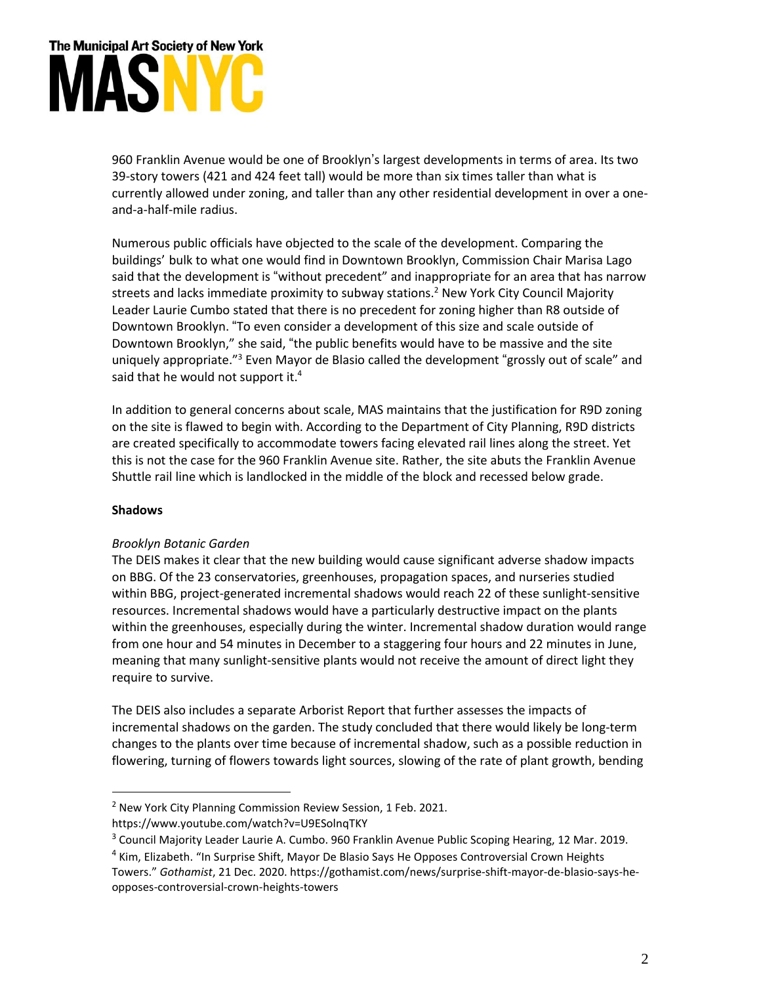# The Municipal Art Society of New York MASN

960 Franklin Avenue would be one of Brooklyn's largest developments in terms of area. Its two 39-story towers (421 and 424 feet tall) would be more than six times taller than what is currently allowed under zoning, and taller than any other residential development in over a oneand-a-half-mile radius.

Numerous public officials have objected to the scale of the development. Comparing the buildings' bulk to what one would find in Downtown Brooklyn, Commission Chair Marisa Lago said that the development is "without precedent" and inappropriate for an area that has narrow streets and lacks immediate proximity to subway stations.<sup>2</sup> New York City Council Majority Leader Laurie Cumbo stated that there is no precedent for zoning higher than R8 outside of Downtown Brooklyn. "To even consider a development of this size and scale outside of Downtown Brooklyn," she said, "the public benefits would have to be massive and the site uniquely appropriate."<sup>3</sup> Even Mayor de Blasio called the development "grossly out of scale" and said that he would not support it.<sup>4</sup>

In addition to general concerns about scale, MAS maintains that the justification for R9D zoning on the site is flawed to begin with. According to the Department of City Planning, R9D districts are created specifically to accommodate towers facing elevated rail lines along the street. Yet this is not the case for the 960 Franklin Avenue site. Rather, the site abuts the Franklin Avenue Shuttle rail line which is landlocked in the middle of the block and recessed below grade.

## **Shadows**

## *Brooklyn Botanic Garden*

The DEIS makes it clear that the new building would cause significant adverse shadow impacts on BBG. Of the 23 conservatories, greenhouses, propagation spaces, and nurseries studied within BBG, project-generated incremental shadows would reach 22 of these sunlight-sensitive resources. Incremental shadows would have a particularly destructive impact on the plants within the greenhouses, especially during the winter. Incremental shadow duration would range from one hour and 54 minutes in December to a staggering four hours and 22 minutes in June, meaning that many sunlight-sensitive plants would not receive the amount of direct light they require to survive.

The DEIS also includes a separate Arborist Report that further assesses the impacts of incremental shadows on the garden. The study concluded that there would likely be long-term changes to the plants over time because of incremental shadow, such as a possible reduction in flowering, turning of flowers towards light sources, slowing of the rate of plant growth, bending

 $2$  New York City Planning Commission Review Session, 1 Feb. 2021.

https://www.youtube.com/watch?v=U9ESolnqTKY

<sup>&</sup>lt;sup>3</sup> Council Majority Leader Laurie A. Cumbo. 960 Franklin Avenue Public Scoping Hearing, 12 Mar. 2019.

<sup>&</sup>lt;sup>4</sup> Kim, Elizabeth. "In Surprise Shift, Mayor De Blasio Says He Opposes Controversial Crown Heights Towers." *Gothamist*, 21 Dec. 2020. https://gothamist.com/news/surprise-shift-mayor-de-blasio-says-heopposes-controversial-crown-heights-towers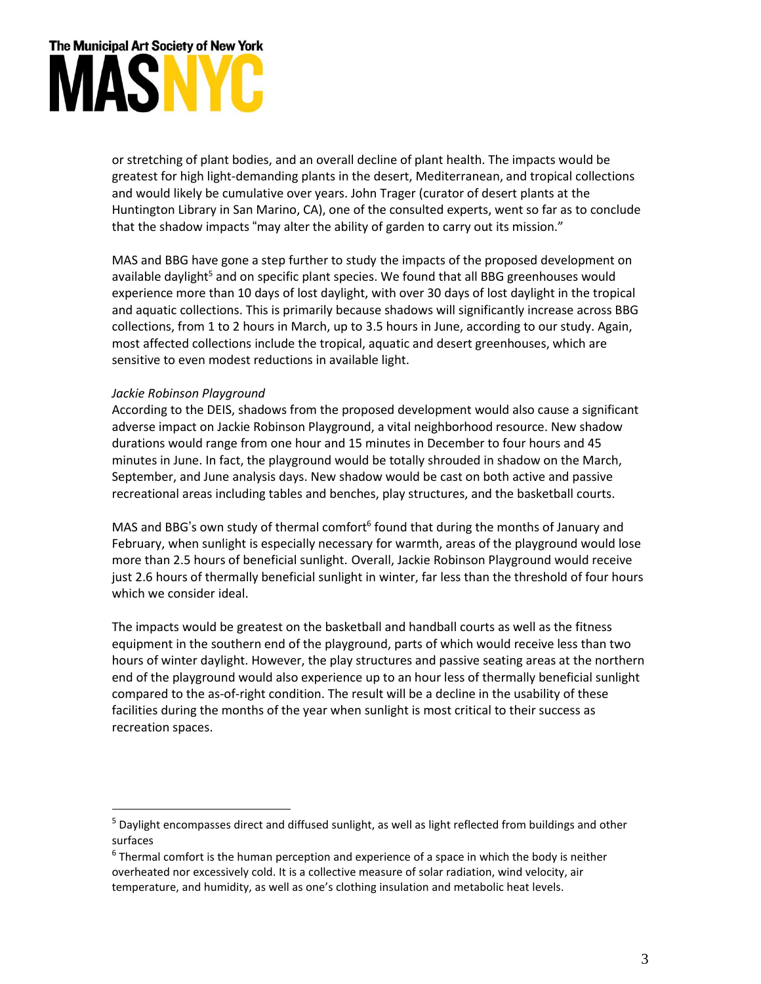# The Municipal Art Society of New York MÁSNYC

or stretching of plant bodies, and an overall decline of plant health. The impacts would be greatest for high light-demanding plants in the desert, Mediterranean, and tropical collections and would likely be cumulative over years. John Trager (curator of desert plants at the Huntington Library in San Marino, CA), one of the consulted experts, went so far as to conclude that the shadow impacts "may alter the ability of garden to carry out its mission."

MAS and BBG have gone a step further to study the impacts of the proposed development on available daylight<sup>5</sup> and on specific plant species. We found that all BBG greenhouses would experience more than 10 days of lost daylight, with over 30 days of lost daylight in the tropical and aquatic collections. This is primarily because shadows will significantly increase across BBG collections, from 1 to 2 hours in March, up to 3.5 hours in June, according to our study. Again, most affected collections include the tropical, aquatic and desert greenhouses, which are sensitive to even modest reductions in available light.

## *Jackie Robinson Playground*

According to the DEIS, shadows from the proposed development would also cause a significant adverse impact on Jackie Robinson Playground, a vital neighborhood resource. New shadow durations would range from one hour and 15 minutes in December to four hours and 45 minutes in June. In fact, the playground would be totally shrouded in shadow on the March, September, and June analysis days. New shadow would be cast on both active and passive recreational areas including tables and benches, play structures, and the basketball courts.

MAS and BBG's own study of thermal comfort<sup>6</sup> found that during the months of January and February, when sunlight is especially necessary for warmth, areas of the playground would lose more than 2.5 hours of beneficial sunlight. Overall, Jackie Robinson Playground would receive just 2.6 hours of thermally beneficial sunlight in winter, far less than the threshold of four hours which we consider ideal.

The impacts would be greatest on the basketball and handball courts as well as the fitness equipment in the southern end of the playground, parts of which would receive less than two hours of winter daylight. However, the play structures and passive seating areas at the northern end of the playground would also experience up to an hour less of thermally beneficial sunlight compared to the as-of-right condition. The result will be a decline in the usability of these facilities during the months of the year when sunlight is most critical to their success as recreation spaces.

<sup>&</sup>lt;sup>5</sup> Daylight encompasses direct and diffused sunlight, as well as light reflected from buildings and other surfaces

 $<sup>6</sup>$ Thermal comfort is the human perception and experience of a space in which the body is neither</sup> overheated nor excessively cold. It is a collective measure of solar radiation, wind velocity, air temperature, and humidity, as well as one's clothing insulation and metabolic heat levels.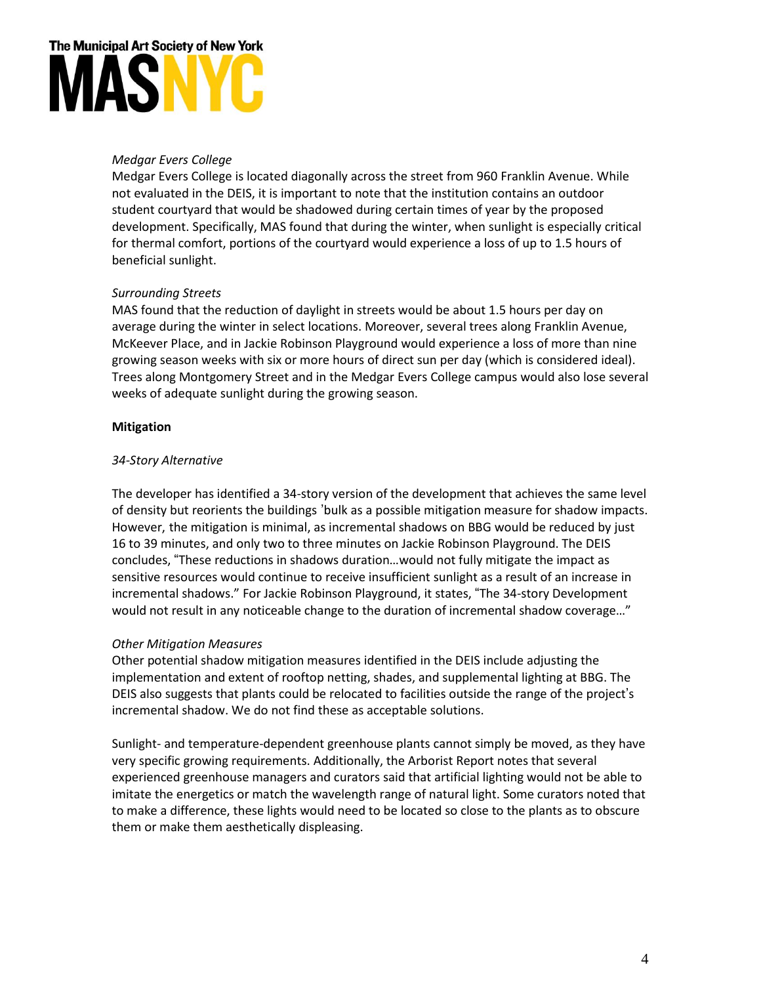## The Municipal Art Society of New York MASN

## *Medgar Evers College*

Medgar Evers College is located diagonally across the street from 960 Franklin Avenue. While not evaluated in the DEIS, it is important to note that the institution contains an outdoor student courtyard that would be shadowed during certain times of year by the proposed development. Specifically, MAS found that during the winter, when sunlight is especially critical for thermal comfort, portions of the courtyard would experience a loss of up to 1.5 hours of beneficial sunlight.

## *Surrounding Streets*

MAS found that the reduction of daylight in streets would be about 1.5 hours per day on average during the winter in select locations. Moreover, several trees along Franklin Avenue, McKeever Place, and in Jackie Robinson Playground would experience a loss of more than nine growing season weeks with six or more hours of direct sun per day (which is considered ideal). Trees along Montgomery Street and in the Medgar Evers College campus would also lose several weeks of adequate sunlight during the growing season.

## **Mitigation**

## *34-Story Alternative*

The developer has identified a 34-story version of the development that achieves the same level of density but reorients the buildings 'bulk as a possible mitigation measure for shadow impacts. However, the mitigation is minimal, as incremental shadows on BBG would be reduced by just 16 to 39 minutes, and only two to three minutes on Jackie Robinson Playground. The DEIS concludes, "These reductions in shadows duration…would not fully mitigate the impact as sensitive resources would continue to receive insufficient sunlight as a result of an increase in incremental shadows." For Jackie Robinson Playground, it states, "The 34-story Development would not result in any noticeable change to the duration of incremental shadow coverage…"

## *Other Mitigation Measures*

Other potential shadow mitigation measures identified in the DEIS include adjusting the implementation and extent of rooftop netting, shades, and supplemental lighting at BBG. The DEIS also suggests that plants could be relocated to facilities outside the range of the project's incremental shadow. We do not find these as acceptable solutions.

Sunlight- and temperature-dependent greenhouse plants cannot simply be moved, as they have very specific growing requirements. Additionally, the Arborist Report notes that several experienced greenhouse managers and curators said that artificial lighting would not be able to imitate the energetics or match the wavelength range of natural light. Some curators noted that to make a difference, these lights would need to be located so close to the plants as to obscure them or make them aesthetically displeasing.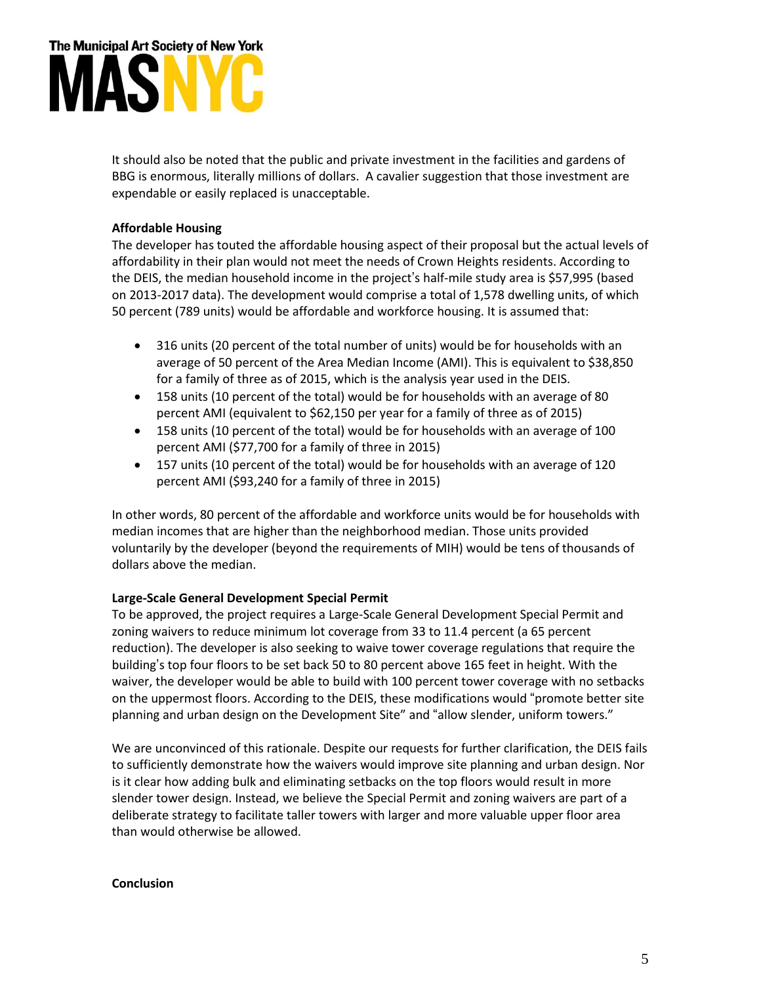

It should also be noted that the public and private investment in the facilities and gardens of BBG is enormous, literally millions of dollars. A cavalier suggestion that those investment are expendable or easily replaced is unacceptable.

## **Affordable Housing**

The developer has touted the affordable housing aspect of their proposal but the actual levels of affordability in their plan would not meet the needs of Crown Heights residents. According to the DEIS, the median household income in the project's half-mile study area is \$57,995 (based on 2013-2017 data). The development would comprise a total of 1,578 dwelling units, of which 50 percent (789 units) would be affordable and workforce housing. It is assumed that:

- 316 units (20 percent of the total number of units) would be for households with an average of 50 percent of the Area Median Income (AMI). This is equivalent to \$38,850 for a family of three as of 2015, which is the analysis year used in the DEIS.
- 158 units (10 percent of the total) would be for households with an average of 80 percent AMI (equivalent to \$62,150 per year for a family of three as of 2015)
- 158 units (10 percent of the total) would be for households with an average of 100 percent AMI (\$77,700 for a family of three in 2015)
- 157 units (10 percent of the total) would be for households with an average of 120 percent AMI (\$93,240 for a family of three in 2015)

In other words, 80 percent of the affordable and workforce units would be for households with median incomes that are higher than the neighborhood median. Those units provided voluntarily by the developer (beyond the requirements of MIH) would be tens of thousands of dollars above the median.

## **Large-Scale General Development Special Permit**

To be approved, the project requires a Large-Scale General Development Special Permit and zoning waivers to reduce minimum lot coverage from 33 to 11.4 percent (a 65 percent reduction). The developer is also seeking to waive tower coverage regulations that require the building's top four floors to be set back 50 to 80 percent above 165 feet in height. With the waiver, the developer would be able to build with 100 percent tower coverage with no setbacks on the uppermost floors. According to the DEIS, these modifications would "promote better site planning and urban design on the Development Site" and "allow slender, uniform towers."

We are unconvinced of this rationale. Despite our requests for further clarification, the DEIS fails to sufficiently demonstrate how the waivers would improve site planning and urban design. Nor is it clear how adding bulk and eliminating setbacks on the top floors would result in more slender tower design. Instead, we believe the Special Permit and zoning waivers are part of a deliberate strategy to facilitate taller towers with larger and more valuable upper floor area than would otherwise be allowed.

## **Conclusion**